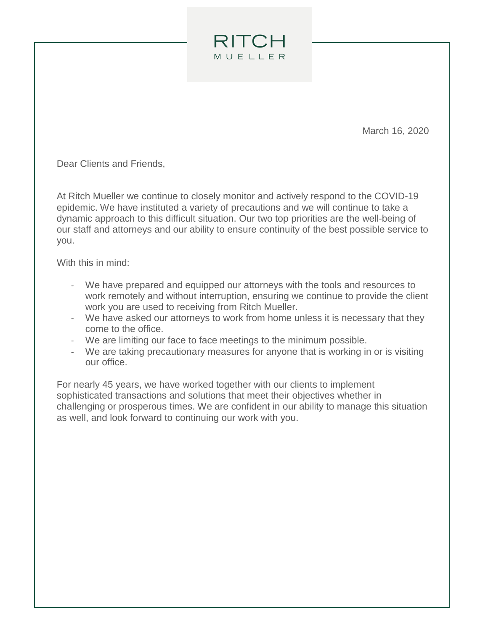March 16, 2020

Dear Clients and Friends,

At Ritch Mueller we continue to closely monitor and actively respond to the COVID-19 epidemic. We have instituted a variety of precautions and we will continue to take a dynamic approach to this difficult situation. Our two top priorities are the well-being of our staff and attorneys and our ability to ensure continuity of the best possible service to you.

**RITCH** MUELLER

With this in mind:

- We have prepared and equipped our attorneys with the tools and resources to work remotely and without interruption, ensuring we continue to provide the client work you are used to receiving from Ritch Mueller.
- We have asked our attorneys to work from home unless it is necessary that they come to the office.
- We are limiting our face to face meetings to the minimum possible.
- We are taking precautionary measures for anyone that is working in or is visiting our office.

For nearly 45 years, we have worked together with our clients to implement sophisticated transactions and solutions that meet their objectives whether in challenging or prosperous times. We are confident in our ability to manage this situation as well, and look forward to continuing our work with you.